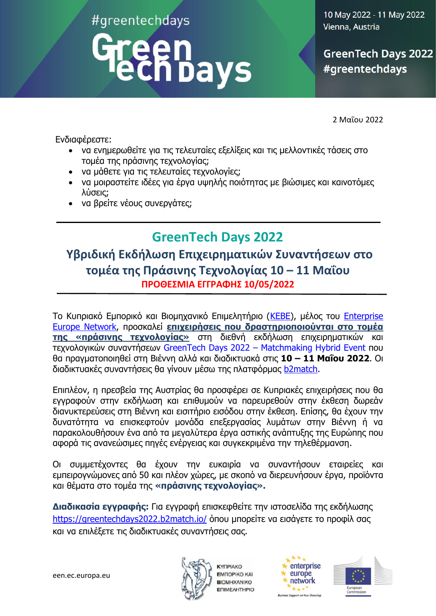#greentechdays

# **:hbays**

10 May 2022 - 11 May 2022 Vienna, Austria

**GreenTech Days 2022** #greentechdays

2 Μαΐου 2022

Ενδιαφέρεστε:

- να ενημερωθείτε για τις τελευταίες εξελίξεις και τις μελλοντικές τάσεις στο τομέα της πράσινης τεχνολογίας;
- να μάθετε για τις τελευταίες τεχνολογίες;
- να μοιραστείτε ιδέες για έργα υψηλής ποιότητας με βιώσιμες και καινοτόμες λύσεις;
- να βρείτε νέους συνεργάτες;

## **GreenTech Days 2022**

## **Υβριδική Εκδήλωση Επιχειρηματικών Συναντήσεων στο τομέα της Πράσινης Τεχνολογίας 10 – 11 Μαΐου ΠΡΟΘΕΣΜΙΑ ΕΓΓΡΑΦΗΣ 10/05/2022**

Το Κυπριακό Εμπορικό και Βιομηχανικό Επιμελητήριο [\(ΚΕΒΕ\)](https://ccci.org.cy/), μέλος του [Enterprise](https://een.ec.europa.eu/)  [Europe Network](https://een.ec.europa.eu/), προσκαλεί **επιχειρήσεις που δραστηριοποιούνται στο τομέα της «πράσινης τεχνολογίας»** στη διεθνή εκδήλωση επιχειρηματικών και τεχνολογικών συναντήσεων [GreenTech Days 2022](https://greentechdays2022.b2match.io/) – Matchmaking Hybrid Event που [θα πραγματοποιηθεί στη Βιέννη](https://greentechdays2022.b2match.io/) αλλά και διαδικτυακά στις **10 – 11 Μαΐου 2022**. Οι διαδικτυακές συναντήσεις θα γίνουν μέσω της πλατφόρμας [b2match.](https://greentechdays2022.b2match.io/)

Επιπλέον, η πρεσβεία της Αυστρίας θα προσφέρει σε Κυπριακές επιχειρήσεις που θα εγγραφούν στην εκδήλωση και επιθυμούν να παρευρεθούν στην έκθεση δωρεάν διανυκτερεύσεις στη Βιέννη και εισιτήριο εισόδου στην έκθεση. Επίσης, θα έχουν την δυνατότητα να επισκεφτούν μονάδα επεξεργασίας λυμάτων στην Βιέννη ή να παρακολουθήσουν ένα από τα μεγαλύτερα έργα αστικής ανάπτυξης της Ευρώπης που αφορά τις ανανεώσιμες πηγές ενέργειας και συγκεκριμένα την τηλεθέρμανση.

Οι συμμετέχοντες θα έχουν την ευκαιρία να συναντήσουν εταιρείες και εμπειρογνώμονες από 50 και πλέον χώρες, με σκοπό να διερευνήσουν έργα, προϊόντα και θέματα στο τομέα της **«πράσινης τεχνολογίας».**

**Διαδικασία εγγραφής:** Για εγγραφή επισκεφθείτε την ιστοσελίδα της εκδήλωσης <https://greentechdays2022.b2match.io/> όπου μπορείτε να εισάγετε το προφίλ σας και να επιλέξετε τις διαδικτυακές συναντήσεις σας.



**KYFIPIAKO EMΠOPIKO KAI BIOMHXANIKO ENIMEAHTHPIO** 



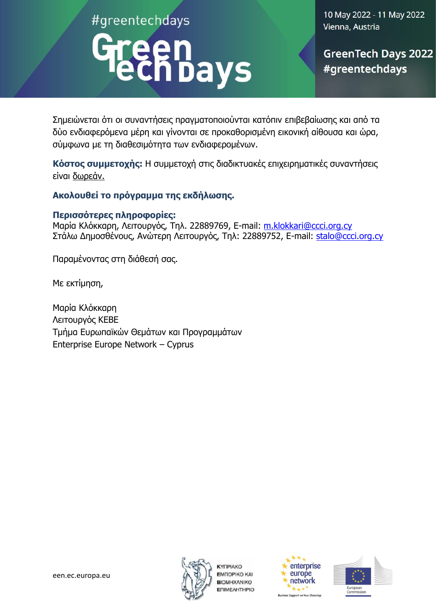#greentechdays

# ñbays

10 May 2022 - 11 May 2022 Vienna, Austria

**GreenTech Days 2022** #greentechdays

Σημειώνεται ότι οι συναντήσεις πραγματοποιούνται κατόπιν επιβεβαίωσης και από τα δύο ενδιαφερόμενα μέρη και γίνονται σε προκαθορισμένη εικονική αίθουσα και ώρα, σύμφωνα με τη διαθεσιμότητα των ενδιαφερομένων.

**Κόστος συμμετοχής:** Η συμμετοχή στις διαδικτυακές επιχειρηματικές συναντήσεις είναι δωρεάν.

## **Ακολουθεί το πρόγραμμα της εκδήλωσης.**

## **Περισσότερες πληροφορίες:**

Μαρία Κλόκκαρη, Λειτουργός, Τηλ. 22889769, E-mail: [m.klokkari@ccci.org.cy](mailto:m.klokkari@ccci.org.cy) Στάλω Δημοσθένους, Ανώτερη Λειτουργός, Τηλ: 22889752, E-mail: [stalo@ccci.org.cy](mailto:stalo@ccci.org.cy) 

Παραμένοντας στη διάθεσή σας.

Με εκτίμηση,

Μαρία Κλόκκαρη Λειτουργός ΚΕΒΕ Τμήμα Ευρωπαϊκών Θεμάτων και Προγραμμάτων Enterprise Europe Network – Cyprus



**KYFIPIAKO EMITOPIKO KAI BIOMHXANIKO ENIMEAHTHPIO** 



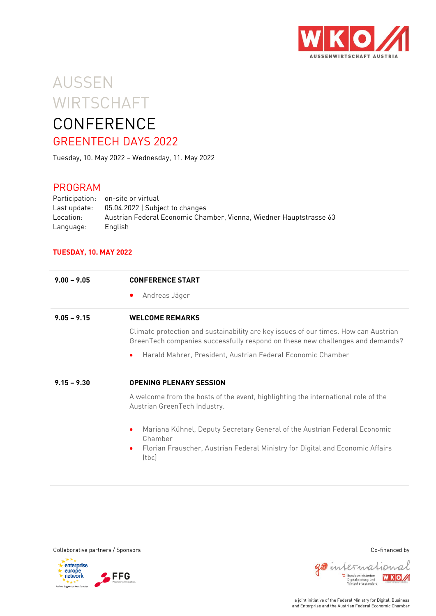

# AUSSEN **WIRTSCHAFT CONFERENCE**

## GREENTECH DAYS 2022

Tuesday, 10. May 2022 – Wednesday, 11. May 2022

## PROGRAM

Participation: on-site or virtual Last update: 05.04.2022 | Subject to changes Location: Austrian Federal Economic Chamber, Vienna, Wiedner Hauptstrasse 63 Language: English

#### **TUESDAY, 10. MAY 2022**

| $9.00 - 9.05$ | <b>CONFERENCE START</b>                                                                                                                                              |  |  |
|---------------|----------------------------------------------------------------------------------------------------------------------------------------------------------------------|--|--|
|               | Andreas Jäger<br>$\bullet$                                                                                                                                           |  |  |
| $9.05 - 9.15$ | <b>WELCOME REMARKS</b>                                                                                                                                               |  |  |
|               | Climate protection and sustainability are key issues of our times. How can Austrian<br>GreenTech companies successfully respond on these new challenges and demands? |  |  |
|               | Harald Mahrer, President, Austrian Federal Economic Chamber<br>$\bullet$                                                                                             |  |  |
| $9.15 - 9.30$ | <b>OPENING PLENARY SESSION</b>                                                                                                                                       |  |  |
|               | A welcome from the hosts of the event, highlighting the international role of the                                                                                    |  |  |
|               | Austrian GreenTech Industry.                                                                                                                                         |  |  |
|               | Mariana Kühnel, Deputy Secretary General of the Austrian Federal Economic<br>$\bullet$<br>Chamber                                                                    |  |  |







WKOA



gointernational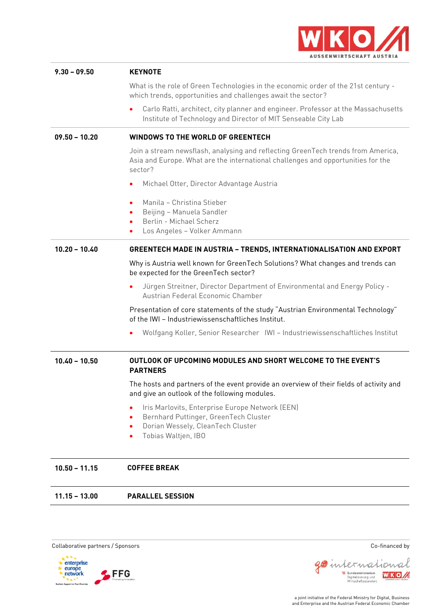

| $9.30 - 09.50$  | <b>KEYNOTE</b>                                                                                                                                                                  |
|-----------------|---------------------------------------------------------------------------------------------------------------------------------------------------------------------------------|
|                 | What is the role of Green Technologies in the economic order of the 21st century -<br>which trends, opportunities and challenges await the sector?                              |
|                 | Carlo Ratti, architect, city planner and engineer. Professor at the Massachusetts<br>Institute of Technology and Director of MIT Senseable City Lab                             |
| $09.50 - 10.20$ | <b>WINDOWS TO THE WORLD OF GREENTECH</b>                                                                                                                                        |
|                 | Join a stream newsflash, analysing and reflecting GreenTech trends from America,<br>Asia and Europe. What are the international challenges and opportunities for the<br>sector? |
|                 | Michael Otter, Director Advantage Austria<br>٠                                                                                                                                  |
|                 | Manila - Christina Stieber<br>٠<br>Beijing - Manuela Sandler<br>٠<br>Berlin - Michael Scherz<br>Los Angeles - Volker Ammann                                                     |
| $10.20 - 10.40$ | <b>GREENTECH MADE IN AUSTRIA - TRENDS, INTERNATIONALISATION AND EXPORT</b>                                                                                                      |
|                 | Why is Austria well known for GreenTech Solutions? What changes and trends can<br>be expected for the GreenTech sector?                                                         |
|                 | Jürgen Streitner, Director Department of Environmental and Energy Policy -<br>Austrian Federal Economic Chamber                                                                 |
|                 | Presentation of core statements of the study "Austrian Environmental Technology"<br>of the IWI - Industriewissenschaftliches Institut.                                          |
|                 | ٠                                                                                                                                                                               |
| $10.40 - 10.50$ | OUTLOOK OF UPCOMING MODULES AND SHORT WELCOME TO THE EVENT'S<br><b>PARTNERS</b>                                                                                                 |
|                 | The hosts and partners of the event provide an overview of their fields of activity and<br>and give an outlook of the following modules.                                        |
|                 | Iris Marlovits, Enterprise Europe Network (EEN)<br>٠<br>Bernhard Puttinger, GreenTech Cluster<br>٠<br>Dorian Wessely, CleanTech Cluster<br>٠<br>Tobias Waltjen, IBO<br>٠        |
| $10.50 - 11.15$ | <b>COFFEE BREAK</b>                                                                                                                                                             |
| $11.15 - 13.00$ | <b>PARALLEL SESSION</b>                                                                                                                                                         |





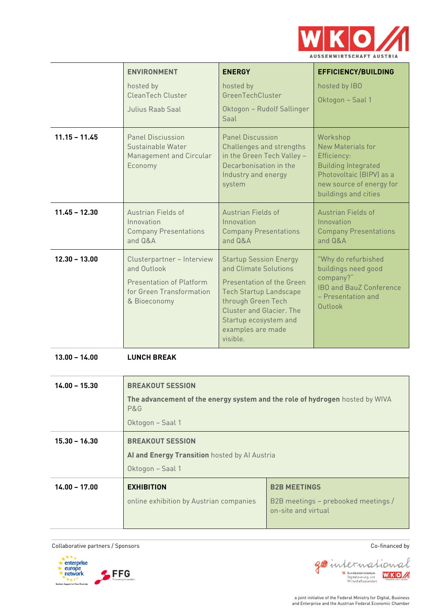

|                 | <b>ENVIRONMENT</b>                                                                                                | <b>ENERGY</b>                                                                                                                                                                                                                    | <b>EFFICIENCY/BUILDING</b>                                                                                                                                 |
|-----------------|-------------------------------------------------------------------------------------------------------------------|----------------------------------------------------------------------------------------------------------------------------------------------------------------------------------------------------------------------------------|------------------------------------------------------------------------------------------------------------------------------------------------------------|
|                 | hosted by<br>CleanTech Cluster<br>Julius Raab Saal                                                                | hosted by<br>GreenTechCluster<br>Oktogon - Rudolf Sallinger<br>Saal                                                                                                                                                              | hosted by IBO<br>Oktogon - Saal 1                                                                                                                          |
| $11.15 - 11.45$ | <b>Panel Disciussion</b><br>Sustainable Water<br>Management and Circular<br>Economy                               | <b>Panel Discussion</b><br>Challenges and strengths<br>in the Green Tech Valley -<br>Decarbonisation in the<br>Industry and energy<br>system                                                                                     | Workshop<br>New Materials for<br>Efficiency:<br><b>Building Integrated</b><br>Photovoltaic (BIPV) as a<br>new source of energy for<br>buildings and cities |
| $11.45 - 12.30$ | Austrian Fields of<br>Innovation<br><b>Company Presentations</b><br>and $Q\&A$                                    | <b>Austrian Fields of</b><br>Innovation<br><b>Company Presentations</b><br>and $Q\&A$                                                                                                                                            | <b>Austrian Fields of</b><br>Innovation<br><b>Company Presentations</b><br>$and$ $0&$ $A$                                                                  |
| $12.30 - 13.00$ | Clusterpartner - Interview<br>and Outlook<br>Presentation of Platform<br>for Green Transformation<br>& Bioeconomy | <b>Startup Session Energy</b><br>and Climate Solutions<br>Presentation of the Green<br><b>Tech Startup Landscape</b><br>through Green Tech<br>Cluster and Glacier. The<br>Startup ecosystem and<br>examples are made<br>visible. | "Why do refurbished<br>buildings need good<br>company?"<br><b>IBO and BauZ Conference</b><br>- Presentation and<br>Outlook                                 |

**13.00 – 14.00 LUNCH BREAK**

| $14.00 - 15.30$ | <b>BREAKOUT SESSION</b>                                                             |                                                            |  |
|-----------------|-------------------------------------------------------------------------------------|------------------------------------------------------------|--|
|                 | The advancement of the energy system and the role of hydrogen hosted by WIVA<br>P&G |                                                            |  |
|                 | Oktogon - Saal 1                                                                    |                                                            |  |
| $15.30 - 16.30$ | <b>BREAKOUT SESSION</b>                                                             |                                                            |  |
|                 | Al and Energy Transition hosted by Al Austria                                       |                                                            |  |
|                 | Oktogon - Saal 1                                                                    |                                                            |  |
| $14.00 - 17.00$ | <b>EXHIBITION</b>                                                                   | <b>B2B MEETINGS</b>                                        |  |
|                 | online exhibition by Austrian companies                                             | B2B meetings - prebooked meetings /<br>on-site and virtual |  |

Collaborative partners / Sponsors Co-financed by



WKOA

Bundesministerium<br>Digitalisierung und<br>Wirtschaftsstandort